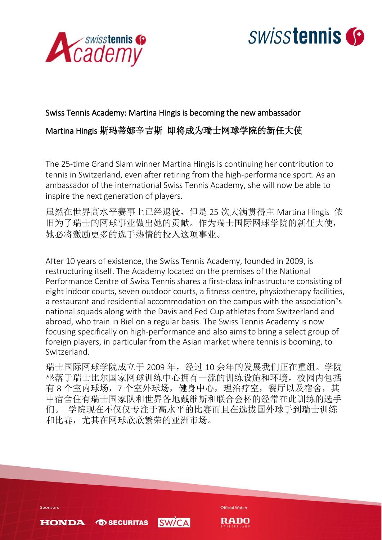



# Swiss Tennis Academy: Martina Hingis is becoming the new ambassador Martina Hingis 斯玛蒂娜辛吉斯 即将成为瑞士网球学院的新任大使

The 25-time Grand Slam winner Martina Hingis is continuing her contribution to tennis in Switzerland, even after retiring from the high-performance sport. As an ambassador of the international Swiss Tennis Academy, she will now be able to inspire the next generation of players.

虽然在世界高水平赛事上已经退役,但是 25 次大满贯得主 Martina Hingis 依 旧为了瑞士的网球事业做出她的贡献。作为瑞士国际网球学院的新任大使, 她必将激励更多的选手热情的投入这项事业。

After 10 years of existence, the Swiss Tennis Academy, founded in 2009, is restructuring itself. The Academy located on the premises of the National Performance Centre of Swiss Tennis shares a first-class infrastructure consisting of eight indoor courts, seven outdoor courts, a fitness centre, physiotherapy facilities, a restaurant and residential accommodation on the campus with the association's national squads along with the Davis and Fed Cup athletes from Switzerland and abroad, who train in Biel on a regular basis. The Swiss Tennis Academy is now focusing specifically on high-performance and also aims to bring a select group of foreign players, in particular from the Asian market where tennis is booming, to Switzerland.

瑞士国际网球学院成立于 2009 年,经过 10 余年的发展我们正在重组。学院 坐落于瑞士比尔国家网球训练中心拥有一流的训练设施和环境,校园内包括 有 8 个室内球场,7 个室外球场,健身中心,理治疗室,餐厅以及宿舍,其 中宿舍住有瑞士国家队和世界各地戴维斯和联合会杯的经常在此训练的选手 们。 学院现在不仅仅专注于高水平的比赛而且在选拔国外球手到瑞士训练 和比赛,尤其在网球欣欣繁荣的亚洲市场。

Sponsors

**HONDA OD SECURITAS** 



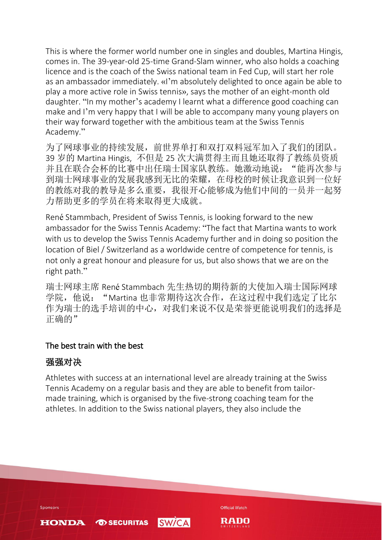This is where the former world number one in singles and doubles, Martina Hingis, comes in. The 39-year-old 25-time Grand-Slam winner, who also holds a coaching licence and is the coach of the Swiss national team in Fed Cup, will start her role as an ambassador immediately. «I'm absolutely delighted to once again be able to play a more active role in Swiss tennis», says the mother of an eight-month old daughter. "In my mother's academy I learnt what a difference good coaching can make and I'm very happy that I will be able to accompany many young players on their way forward together with the ambitious team at the Swiss Tennis Academy."

为了网球事业的持续发展,前世界单打和双打双料冠军加入了我们的团队。 39 岁的 Martina Hingis, 不但是 25 次大满贯得主而且她还取得了教练员资质 并且在联合会杯的比赛中出任瑞士国家队教练。她激动地说: "能再次参与 到瑞士网球事业的发展我感到无比的荣耀,在母校的时候让我意识到一位好 的教练对我的教导是多么重要,我很开心能够成为他们中间的一员并一起努 力帮助更多的学员在将来取得更大成就。

René Stammbach, President of Swiss Tennis, is looking forward to the new ambassador for the Swiss Tennis Academy: "The fact that Martina wants to work with us to develop the Swiss Tennis Academy further and in doing so position the location of Biel / Switzerland as a worldwide centre of competence for tennis, is not only a great honour and pleasure for us, but also shows that we are on the right path."

瑞士网球主席 René Stammbach 先生热切的期待新的大使加入瑞士国际网球 学院,他说: "Martina 也非常期待这次合作, 在这过程中我们选定了比尔 作为瑞士的选手培训的中心,对我们来说不仅是荣誉更能说明我们的选择是 正确的"

## The best train with the best

# 强强对决

Athletes with success at an international level are already training at the Swiss Tennis Academy on a regular basis and they are able to benefit from tailormade training, which is organised by the five-strong coaching team for the athletes. In addition to the Swiss national players, they also include the

**SW/CA** 

**OD SECURITAS** 

**Official Watch** 

RADO

Sponsors

**HONDA**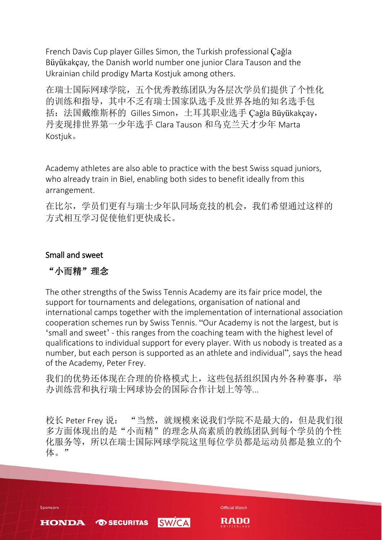French Davis Cup player Gilles Simon, the Turkish professional Çağla Büyükakçay, the Danish world number one junior Clara Tauson and the Ukrainian child prodigy Marta Kostjuk among others.

在瑞士国际网球学院,五个优秀教练团队为各层次学员们提供了个性化 的训练和指导,其中不乏有瑞士国家队选手及世界各地的知名选手包 括:法国戴维斯杯的 Gilles Simon,土耳其职业选手 Çağla Büyükakçay, 丹麦现排世界第一少年选手 Clara Tauson 和乌克兰天才少年 Marta Kostjuk。

Academy athletes are also able to practice with the best Swiss squad juniors, who already train in Biel, enabling both sides to benefit ideally from this arrangement.

在比尔,学员们更有与瑞士少年队同场竞技的机会,我们希望通过这样的 方式相互学习促使他们更快成长。

#### Small and sweet

## "小而精"理念

The other strengths of the Swiss Tennis Academy are its fair price model, the support for tournaments and delegations, organisation of national and international camps together with the implementation of international association cooperation schemes run by Swiss Tennis. "Our Academy is not the largest, but is 'small and sweet' - this ranges from the coaching team with the highest level of qualifications to individual support for every player. With us nobody is treated as a number, but each person is supported as an athlete and individual", says the head of the Academy, Peter Frey.

我们的优势还体现在合理的价格模式上,这些包括组织国内外各种赛事,举 办训练营和执行瑞士网球协会的国际合作计划上等等...

校长 Peter Frey 说: "当然, 就规模来说我们学院不是最大的, 但是我们很 多方面体现出的是"小而精"的理念从高素质的教练团队到每个学员的个性 化服务等,所以在瑞士国际网球学院这里每位学员都是运动员都是独立的个 体。"

Sponsors

**HONDA** 

**TO SECURITAS** 

Official Watch

PANO